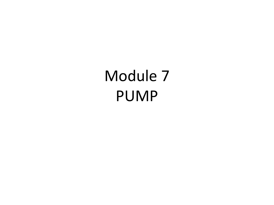Module 7 PUMP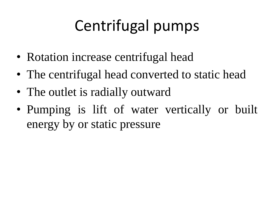# Centrifugal pumps

- Rotation increase centrifugal head
- The centrifugal head converted to static head
- The outlet is radially outward
- Pumping is lift of water vertically or built energy by or static pressure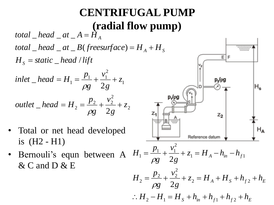#### **CENTRIFUGAL PUMP (radial flow pump)**

 $H_{\overline{S}} = static \_ head / lift$  $total\_head\_at\_B(freesurface) = H_{A} + H_{S}$  $total\_head\_at\_B(freesurface) = H_{A} + H_{S}$  $total\_head\_at\_B(freesurface) = H_{A} + H_{S}$  $total$   $\_head$   $\_at$   $\_A$   $=$   $\dot{H}$   $_A$ 

*inlet* 
$$
-\text{head} = H_1 = \frac{p_1}{\rho g} + \frac{v_1^2}{2g} + z_1
$$

*outlet* 
$$
\_
$$
 *head* =  $H_2 = \frac{p_2}{\rho g} + \frac{v_2^2}{2g} + z_2$ 

- Total or net head developed is (H2 - H1)
- Bernouli's equn between A  $H_1 = \frac{p_1}{g_1} + \frac{v_1}{g_2} + z_1 = H_A h_{in} h_f$ & C and D & E

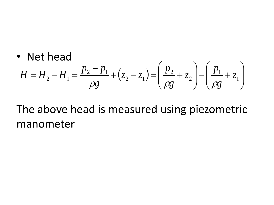• Net head  
\n
$$
H = H_2 - H_1 = \frac{p_2 - p_1}{\rho g} + (z_2 - z_1) = \left(\frac{p_2}{\rho g} + z_2\right) - \left(\frac{p_1}{\rho g} + z_1\right)
$$

The above head is measured using piezometric manometer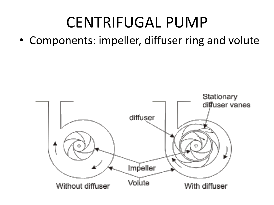## CENTRIFUGAL PUMP

• Components: impeller, diffuser ring and volute

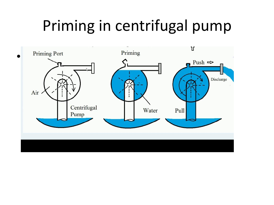### Priming in centrifugal pump

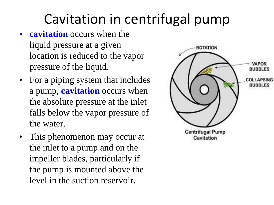#### Cavitation in centrifugal pump

- **cavitation** occurs when the liquid pressure at a given location is reduced to the vapor pressure of the liquid.
- For a piping system that includes a pump, **cavitation** occurs when the absolute pressure at the inlet falls below the vapor pressure of the water.
- This phenomenon may occur at the inlet to a pump and on the impeller blades, particularly if the pump is mounted above the level in the suction reservoir.

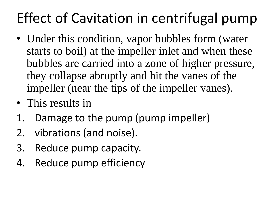#### Effect of Cavitation in centrifugal pump

- Under this condition, vapor bubbles form (water starts to boil) at the impeller inlet and when these bubbles are carried into a zone of higher pressure, they collapse abruptly and hit the vanes of the impeller (near the tips of the impeller vanes).
- This results in
- 1. Damage to the pump (pump impeller)
- 2. vibrations (and noise).
- 3. Reduce pump capacity.
- 4. Reduce pump efficiency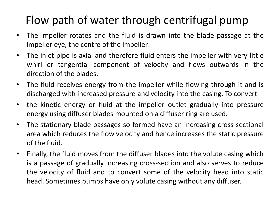#### Flow path of water through centrifugal pump

- The impeller rotates and the fluid is drawn into the blade passage at the impeller eye, the centre of the impeller.
- The inlet pipe is axial and therefore fluid enters the impeller with very little whirl or tangential component of velocity and flows outwards in the direction of the blades.
- The fluid receives energy from the impeller while flowing through it and is discharged with increased pressure and velocity into the casing. To convert
- the kinetic energy or fluid at the impeller outlet gradually into pressure energy using diffuser blades mounted on a diffuser ring are used.
- The stationary blade passages so formed have an increasing cross-sectional area which reduces the flow velocity and hence increases the static pressure of the fluid.
- Finally, the fluid moves from the diffuser blades into the volute casing which is a passage of gradually increasing cross-section and also serves to reduce the velocity of fluid and to convert some of the velocity head into static head. Sometimes pumps have only volute casing without any diffuser.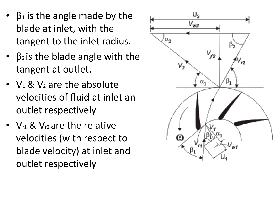- $\beta_1$  is the angle made by the blade at inlet, with the tangent to the inlet radius.
- $\beta_2$  is the blade angle with the tangent at outlet.
- $V_1$  &  $V_2$  are the absolute velocities of fluid at inlet an outlet respectively
- $V_{r1}$  &  $V_{r2}$  are the relative velocities (with respect to blade velocity) at inlet and outlet respectively

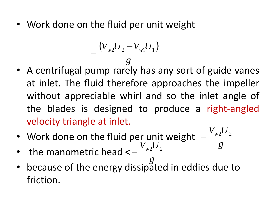• Work done on the fluid per unit weight

$$
=\frac{(V_{w2}U_{2}-V_{w1}U_{1})}{g}
$$

- A centrifugal pump rarely has any sort of guide vanes at inlet. The fluid therefore approaches the impeller without appreciable whirl and so the inlet angle of the blades is designed to produce a right-angled velocity triangle at inlet.  $=\frac{(V_{w2}U_2 - V_{w1}U_1)}{g}$ <br>A centrifugal pump rarely has<br>at inlet. The fluid therefore ap<br>without appreciable whirl and<br>the blades is designed to p<br>velocity triangle at inlet.<br>Work done on the fluid per uni<br>the manometric
- Work done on the fluid per unit weight  $V_{w2}U_2$  $=$
- the manometric head < *g g*  $V_{w2}U_2$  $=$
- because of the energy dissipated in eddies due to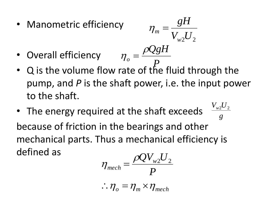- Manometric efficiency  $V_{w2}U_2$ *gH w*  $\eta_m =$
- Overall efficiency *P QgH o*  $\eta_{o} = \frac{\rho_{o}}{2}$
- Q is the volume flow rate of the fluid through the pump, and *P* is the shaft power, i.e. the input power to the shaft.
- The energy required at the shaft exceeds because of friction in the bearings and other mechanical parts. Thus a mechanical efficiency is defined as *g Vw*<sup>2</sup>  $\overline{U}_2$

$$
\eta_{mech} = \frac{\rho Q V_{w2} U_2}{P}
$$

$$
\therefore \eta_o = \eta_m \times \eta_{mech}
$$